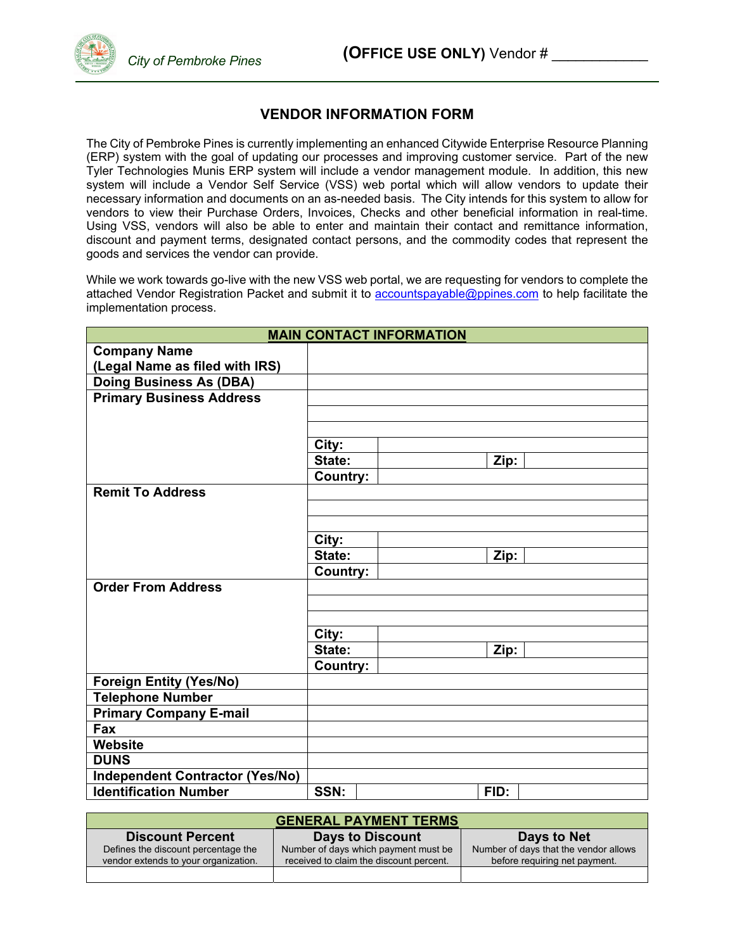## **VENDOR INFORMATION FORM**

The City of Pembroke Pines is currently implementing an enhanced Citywide Enterprise Resource Planning (ERP) system with the goal of updating our processes and improving customer service. Part of the new Tyler Technologies Munis ERP system will include a vendor management module. In addition, this new system will include a Vendor Self Service (VSS) web portal which will allow vendors to update their necessary information and documents on an as-needed basis. The City intends for this system to allow for vendors to view their Purchase Orders, Invoices, Checks and other beneficial information in real-time. Using VSS, vendors will also be able to enter and maintain their contact and remittance information, discount and payment terms, designated contact persons, and the commodity codes that represent the goods and services the vendor can provide.

While we work towards go-live with the new VSS web portal, we are requesting for vendors to complete the attached Vendor Registration Packet and submit it to accountspayable@ppines.com to help facilitate the implementation process.

| <b>MAIN CONTACT INFORMATION</b>        |                 |  |      |  |
|----------------------------------------|-----------------|--|------|--|
| <b>Company Name</b>                    |                 |  |      |  |
| (Legal Name as filed with IRS)         |                 |  |      |  |
| <b>Doing Business As (DBA)</b>         |                 |  |      |  |
| <b>Primary Business Address</b>        |                 |  |      |  |
|                                        |                 |  |      |  |
|                                        |                 |  |      |  |
|                                        | City:           |  |      |  |
|                                        | State:          |  | Zip: |  |
|                                        | <b>Country:</b> |  |      |  |
| <b>Remit To Address</b>                |                 |  |      |  |
|                                        |                 |  |      |  |
|                                        |                 |  |      |  |
|                                        | City:           |  |      |  |
|                                        | State:          |  | Zip: |  |
|                                        | <b>Country:</b> |  |      |  |
| <b>Order From Address</b>              |                 |  |      |  |
|                                        |                 |  |      |  |
|                                        |                 |  |      |  |
|                                        | City:           |  |      |  |
|                                        | State:          |  | Zip: |  |
|                                        | <b>Country:</b> |  |      |  |
| <b>Foreign Entity (Yes/No)</b>         |                 |  |      |  |
| <b>Telephone Number</b>                |                 |  |      |  |
| <b>Primary Company E-mail</b>          |                 |  |      |  |
| Fax                                    |                 |  |      |  |
| <b>Website</b>                         |                 |  |      |  |
| <b>DUNS</b>                            |                 |  |      |  |
| <b>Independent Contractor (Yes/No)</b> |                 |  |      |  |
| <b>Identification Number</b>           | SSN:            |  | FID: |  |

| <b>GENERAL PAYMENT TERMS</b>         |                                         |                                       |  |  |  |  |
|--------------------------------------|-----------------------------------------|---------------------------------------|--|--|--|--|
| <b>Discount Percent</b>              | <b>Days to Discount</b>                 | Days to Net                           |  |  |  |  |
| Defines the discount percentage the  | Number of days which payment must be    | Number of days that the vendor allows |  |  |  |  |
| vendor extends to your organization. | received to claim the discount percent. | before requiring net payment.         |  |  |  |  |
|                                      |                                         |                                       |  |  |  |  |